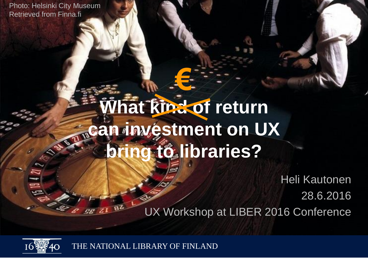Photo: Helsinki City Museum Retrieved from Finna.fi

# **What kind of return Can investment on UX bring to libraries?**

**€**

Heli Kautonen 28.6.2016 UX Workshop at LIBER 2016 Conference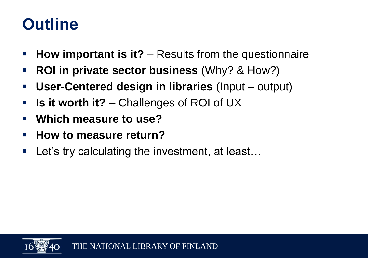#### **Outline**

- **How important is it?** Results from the questionnaire
- **ROI in private sector business** (Why? & How?)
- **User-Centered design in libraries** (Input output)
- **Is it worth it?** Challenges of ROI of UX
- **Which measure to use?**
- **How to measure return?**
- Let's try calculating the investment, at least...

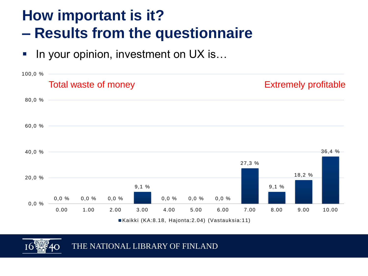#### **How important is it? – Results from the questionnaire**

■ In your opinion, investment on UX is...



Kaikki (KA:8.18, Hajonta:2.04) (Vastauksia:11)

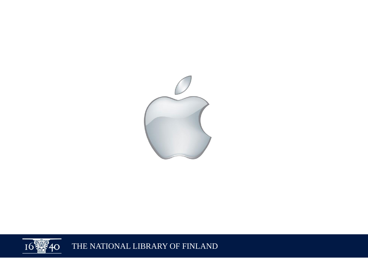

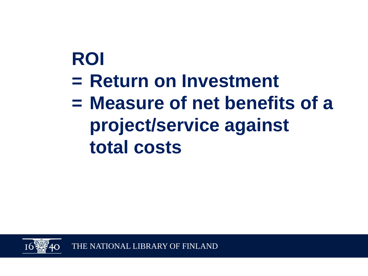# **ROI = Return on Investment = Measure of net benefits of a project/service against total costs**

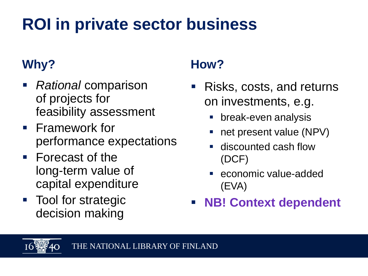## **ROI in private sector business**

#### **Why?**

- *Rational* comparison of projects for feasibility assessment
- **Framework for** performance expectations
- Forecast of the long-term value of capital expenditure
- **Tool for strategic** decision making

#### **How?**

- Risks, costs, and returns on investments, e.g.
	- **break-even analysis**
	- net present value (NPV)
	- discounted cash flow (DCF)
	- economic value-added (EVA)
- **NB! Context dependent**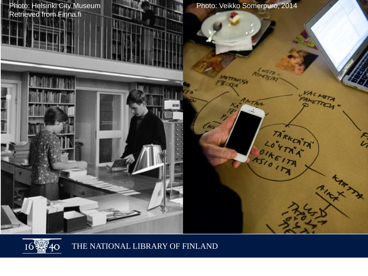Photo: Helsinki City Museum Retrieved from Finna.fi

Photo: Veikko Somerpuro, 2014

**IMETTANISM** FB. SEA

**Kill** 

 $\sqrt{2}$ 

 $\frac{logr_{B}}{4}$ 

TARKOTA .

ANTAA

**VAC MATA** PARETTESS .

スレ

Altox 138

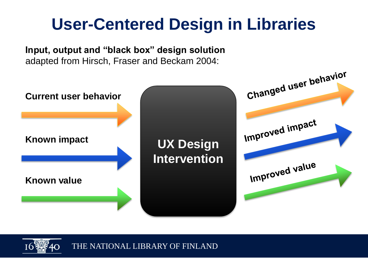### **User-Centered Design in Libraries**

**Input, output and "black box" design solution**  adapted from Hirsch, Fraser and Beckam 2004:



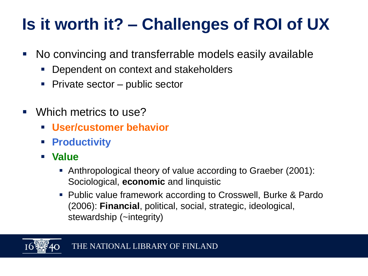## **Is it worth it? – Challenges of ROI of UX**

- No convincing and transferrable models easily available
	- **Dependent on context and stakeholders**
	- **Private sector** public sector
- Which metrics to use?
	- **User/customer behavior**
	- **Productivity**
	- **Value**
		- Anthropological theory of value according to Graeber (2001): Sociological, **economic** and linquistic
		- Public value framework according to Crosswell, Burke & Pardo (2006): **Financial**, political, social, strategic, ideological, stewardship (~integrity)

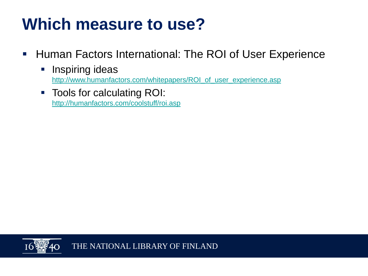### **Which measure to use?**

- **Human Factors International: The ROI of User Experience** 
	- **Inspiring ideas** [http://www.humanfactors.com/whitepapers/ROI\\_of\\_user\\_experience.asp](http://www.humanfactors.com/whitepapers/ROI_of_user_experience.asp)
	- Tools for calculating ROI: <http://humanfactors.com/coolstuff/roi.asp>

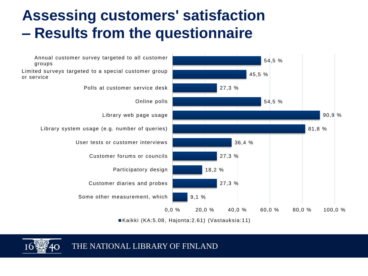#### **Assessing customers' satisfaction – Results from the questionnaire**



Kaikki (KA:5.08, Hajonta:2.61) (Vastauksia:11)

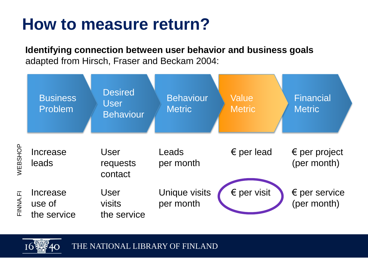#### **How to measure return?**

**Identifying connection between user behavior and business goals** adapted from Hirsch, Fraser and Beckam 2004:



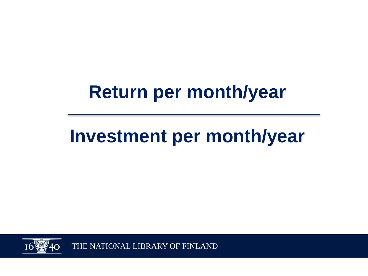## **Return per month/year**

# **Investment per month/year**

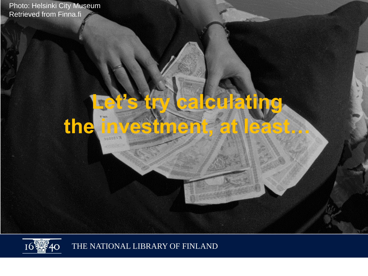Photo: Helsinki City Museum Retrieved from Finna.fi

# **alculati** the investment, at lea

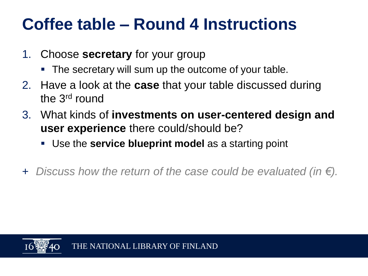### **Coffee table – Round 4 Instructions**

- 1. Choose **secretary** for your group
	- The secretary will sum up the outcome of your table.
- 2. Have a look at the **case** that your table discussed during the 3<sup>rd</sup> round
- 3. What kinds of **investments on user-centered design and user experience** there could/should be?
	- Use the **service blueprint model** as a starting point
- + *Discuss how the return of the case could be evaluated (in €).*